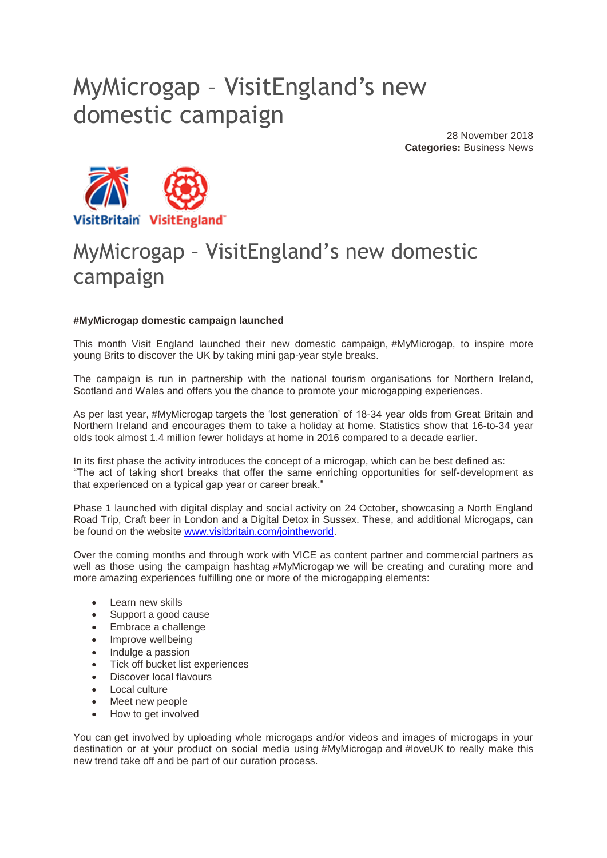## MyMicrogap – VisitEngland's new domestic campaign

28 November 2018 **Categories:** Business News



## MyMicrogap – VisitEngland's new domestic campaign

## **#MyMicrogap domestic campaign launched**

This month Visit England launched their new domestic campaign, #MyMicrogap, to inspire more young Brits to discover the UK by taking mini gap-year style breaks.

The campaign is run in partnership with the national tourism organisations for Northern Ireland, Scotland and Wales and offers you the chance to promote your microgapping experiences.

As per last year, #MyMicrogap targets the 'lost generation' of 18-34 year olds from Great Britain and Northern Ireland and encourages them to take a holiday at home. Statistics show that 16-to-34 year olds took almost 1.4 million fewer holidays at home in 2016 compared to a decade earlier.

In its first phase the activity introduces the concept of a microgap, which can be best defined as: "The act of taking short breaks that offer the same enriching opportunities for self-development as that experienced on a typical gap year or career break."

Phase 1 launched with digital display and social activity on 24 October, showcasing a North England Road Trip, Craft beer in London and a Digital Detox in Sussex. These, and additional Microgaps, can be found on the website [www.visitbritain.com/jointheworld.](http://www.visitbritain.com/jointheworld)

Over the coming months and through work with VICE as content partner and commercial partners as well as those using the campaign hashtag #MyMicrogap we will be creating and curating more and more amazing experiences fulfilling one or more of the microgapping elements:

- Learn new skills
- Support a good cause
- Embrace a challenge
- Improve wellbeing
- Indulge a passion
- Tick off bucket list experiences
- Discover local flavours
- Local culture
- Meet new people
- How to get involved

You can get involved by uploading whole microgaps and/or videos and images of microgaps in your destination or at your product on social media using #MyMicrogap and #loveUK to really make this new trend take off and be part of our curation process.